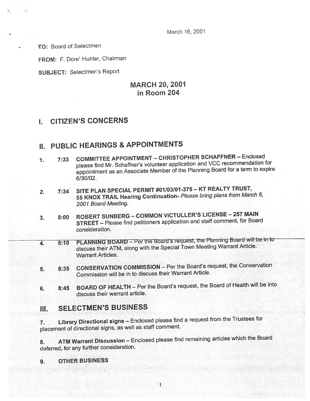March 16, 2001

TO: Board of Selectmen

FROM: F. Dore' Hunter, Chairman

SUBJECT: Selectmen's Report

## MARCH 20, 2001 in Room 204

# I. CITIZEN'S CONCERNS

# II. PUBLIC HEARINGS & APPOINTMENTS

- 1. 7:33 COMMITTEE APPOINTMENT CHRISTOPHER SCHAFFNER Enclosed <sup>p</sup>lease find Mr. Schaffner's volunteer application and VCC recommendation for appointment as an Associate Member of the Planning Board for <sup>a</sup> term to expire 6/30/02.
- 2. 7:34 SITE PLAN SPECIAL PERMIT #07/03/01-375 KT REALTY TRUST, <sup>55</sup> KNOX TRAIL Hearing Continuation- Please bring <sup>p</sup>lans from March 6, 2001 Board Meeting.
- 3. 8:00 ROBERT SUNBERG COMMON VICTULLER'S LICENSE <sup>257</sup> MAIN STREET — Please find petitioners application and staff comment, for Board consideration.
- 4. 8:10 PLANNING BOARD Per the Board's request, the Planning Board will be in to discuss their ATM, along with the Special Town Meeting Warrant Article. Warrant Articles.
- 5. 8:35 CONSERVATION COMMISSION Per the Board's request, the Conservation Commission will be in to discuss their Warrant Article.
- 6. 8:45 BOARD OF HEALTH Per the Board's request, the Board of Health will be into discuss their warrant article.

# III. SELECTMEN'S BUSINESS

7. Library Directional signs — Enclosed <sup>p</sup>lease find <sup>a</sup> reques<sup>t</sup> from the Trustees for <sup>p</sup>lacement of directional signs, as well as staff comment.

8. ATM Warrant Discussion — Enclosed <sup>p</sup>lease find remaining articles which the Board deferred, for any further consideration.

### 9. OTHER BUSINESS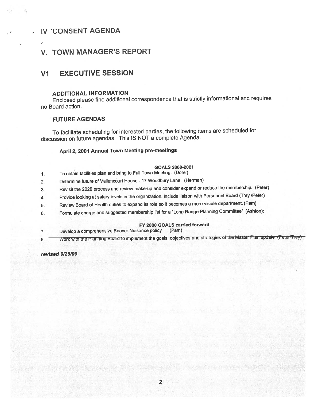## IV 'CONSENT AGENDA

## V. TOWN MANAGER'S REPORT

## VI EXECUTIVE SESSION

### ADDITIONAL INFORMATION

Enclosed <sup>p</sup>lease find additional correspondence that is strictly informational and requires no Board action.

#### FUTURE AGENDAS

To facilitate scheduling for interested parties, the following items are scheduled for discussion on future agendas. This IS NOT <sup>a</sup> complete Agenda.

### April 2, <sup>2001</sup> Annual Town Meeting pre-meetings

- GOALS 2000.2001
- 1. To obtain facilities <sup>p</sup>lan and bring to Fall Town Meeting. (Dote)
- 2. Determine future of Vallencourt House <sup>17</sup> Woodbury Lane. (Herman)
- 3. Revisit the <sup>2020</sup> process and review make-up and consider expan<sup>d</sup> or reduce the membership. (Peter)
- 4. Provide looking at salary levels in the organization, include liaison with Personnel Board (Trey /Peter)
- 5. Review Board of Health duties to expan<sup>d</sup> its role so it becomes <sup>a</sup> more visible department. (Pam)
- 6. Formulate charge and suggested membership list for <sup>a</sup> "Long Range Planning Committee" (Ashton):

#### FY 2000 GOALS carried forward

- 7. Develop <sup>a</sup> comprehensive Beaver Nuisance policy (Pam)
- 8. Work with the Planning Board to implement the goals, objectives and strategies of the Master Plan update (Peter/Trey)

revised 9/26/00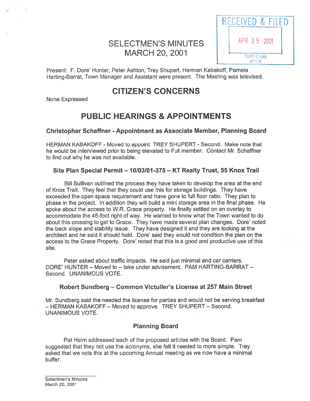# SELECTMEN'S MINUTES | APR 2 5 2001 MARCH 20, 2001



Present: F. Dore' Hunter, Peter Ashton, Trey Shupert, Herman Kabakoff, Pamela Harting-Barrat, Town Manager and Assistant were present. The Meeting was televised.

# CITIZEN'S CONCERNS

None Expressed

# PUBLIC HEARINGS & APPOINTMENTS

### Christopher Schaffner - Appointment as Associate Member, Planning Board

HERMAN KABAKOFF - Moved to appoint TREY SHUPERT - Second. Make note that he would be interviewed prior to being elevated to Full member. Contact Mr. Schaffner to find out why he was not available.

### Site Plan Special Permit — 10103101-375 — KT Realty Trust, 55 Knox Trail

Bill Sullivan outlined the process they have taken to develop the area at the end of Knox Trail. They feel that they could use this for storage buildings. They have exceeded the open space requirement and have gone to full floor ratio. They plan to phase in the project. In addition they will build <sup>a</sup> mini storage area in the final phase. He spoke about the access to W.R. Grace property. He finally settled on an overlay to accommodate the 45-foot right of way. He wanted to know what the Town wanted to do about this crossing to ge<sup>t</sup> to Grace. They have made several plan changes. Dore' noted the back slope and stability issue. They have designed it and they are looking at the architect and he said it should hold. Dore' said they would not condition the plan on the access to the Grace Property. Dore' noted that this is <sup>a</sup> good and productive use of this site.

Peter asked about traffic impacts. He said just minimal and car carriers. DORE' HUNTER — Moved to — take under advisement. PAM HARTING-BARRAT — Second. UNANIMOUS VOTE.

### Robert Sundberg — Common Victuller's License at 257 Main Street

Mr. Sundberg said the needed the license for parties and would not be serving breakfast – HERMAN KABAKOFF – Moved to approve. TREY SHUPERT – Second. UNANIMOUS VOTE.

## Planning Board

Pat Halm addressed each of the proposed articles with the Board. Pam suggested that they not use the acronyms, she felt it needed to more simple. Trey asked that we vote this at the upcoming Annual meeting as we now have <sup>a</sup> minimal buffer.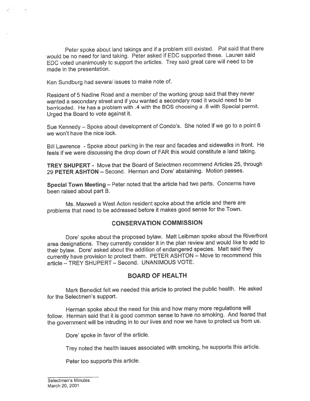Peter spoke about land takings and if <sup>a</sup> problem still existed. Pat said that there would be no need for land taking. Peter asked if EDC supported these. Lauren said EDC voted unanimously to suppor<sup>t</sup> the articles. Trey said grea<sup>t</sup> care will need to be made in the presentation.

Ken Sundburg had several issues to make note of.

•0

Resident of 5 Nadine Road and <sup>a</sup> member of the working group said that they never wanted <sup>a</sup> secondary street and if you wanted <sup>a</sup> secondary road it would need to be barricaded. He has <sup>a</sup> problem with .4 with the BOS choosing <sup>a</sup> .6 with Special permit. Urged the Board to vote against it.

Sue Kennedy — Spoke about development of Condo's. She noted if we go to <sup>a</sup> point <sup>6</sup> we won't have the nice look.

Bill Lawrence - Spoke about parking in the rear and facades and sidewalks in front. He feels if we were discussing the drop down of FAR this would constitute <sup>a</sup> land taking.

TREY SHUPERT - Move that the Board of Selectmen recommend Articles 25, through 29 PETER ASHTON - Second. Herman and Dore' abstaining. Motion passes.

Special Town Meeting — Peter noted that the article had two parts. Concerns have been raised about par<sup>t</sup> B.

Ms. Maxwell <sup>a</sup> West Acton resident spoke about the article and there are problems that need to be addressed before it makes goo<sup>d</sup> sense for the Town.

### CONSERVATION COMMISSION

Dore' spoke about the proposed bylaw. Matt Leibman spoke about the Riverfront area designations. They currently consider it in the <sup>p</sup>lan review and would like to add to their bylaw. Dore' asked about the addition of endangered species. Matt said they currently have provision to protect them. PETER ASHTON — Move to recommend this article — TREY SHUPERT — Second. UNANIMOUS VOTE.

### BOARD OF HEALTH

Mark Benedict felt we needed this article to protect the public health. He asked for the Selectmen's support.

Herman spoke about the need for this and how many more regulations will follow. Herman said that it is goo<sup>d</sup> common sense to have no smoking. And feared that the governmen<sup>t</sup> will be intruding in to our lives and now we have to protect us from us.

Dore' spoke in favor of the article.

Trey noted the health issues associated with smoking, he supports this article.

Peter too supports this article.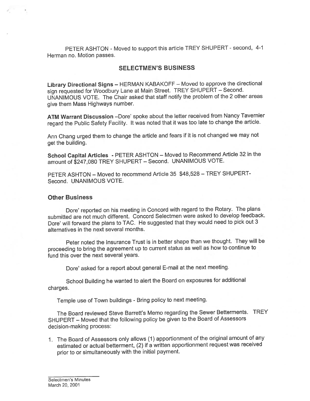PETER ASHTON - Moved to support this article TREY SHUPERT - second, 4-1 Herman no. Motion passes.

### SELECTMEN'S BUSINESS

Library Directional Signs — HERMAN KABAKOFF — Moved to approve the directional sign requested for Woodbury Lane at Main Street. TREY SHUPERT — Second. UNANIMOUS VOTE. The Chair asked that staff notify the problem of the <sup>2</sup> other areas give them Mass Highways number.

ATM Warrant Discussion —Dore' spoke about the letter received from Nancy Tavernier regar<sup>d</sup> the Public Safety Facility. It was noted that it was too late to change the article.

Ann Chang urge<sup>d</sup> them to change the article and fears if it is not changed we may not ge<sup>t</sup> the building.

School Capital Articles - PETER ASHTON — Moved to Recommend Article <sup>32</sup> in the amount of \$247,080 TREY SHUPERT — Second. UNANIMOUS VOTE.

PETER ASHTON — Moved to recommend Article 35 \$48,528 — TREY SHUPERT Second. UNANIMOUS VOTE.

#### Other Business

Dore' reported on his meeting in Concord with regar<sup>d</sup> to the Rotary. The <sup>p</sup>lans submitted are not much different. Concord Selectmen were asked to develop feedback. Dore' will forward the <sup>p</sup>lans to TAC. He suggested that they would need to <sup>p</sup>ick out <sup>3</sup> alternatives in the next several months.

Peter noted the Insurance Trust is in better shape than we thought. They will be proceeding to bring the agreemen<sup>t</sup> up to current status as well as how to continue to fund this over the next several years.

Dore' asked for <sup>a</sup> repor<sup>t</sup> about genera<sup>l</sup> E-mail at the next meeting.

School Building he wanted to alert the Board on exposures for additional charges.

Temple use of Town buildings - Bring policy to next meeting.

The Board reviewed Steve Barrett's Memo regarding the Sewer Betterments. TREY SHUPERT — Moved that the following policy be <sup>g</sup>iven to the Board of Assessors decision-making process:

1. The Board of Assessors only allows (1) apportionment of the original amount of any estimated or actual betterment, (2) if <sup>a</sup> written apportionment reques<sup>t</sup> was received prior to or simultaneously with the initial payment.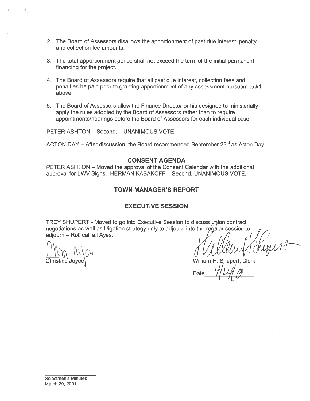- 2. The Board of Assessors disallows the apportionment of past due interest, penalty and collection fee amounts.
- 3. The total apportionment period shall not exceed the term of the initial permanen<sup>t</sup> financing for the project.
- 4. The Board of Assessors require that all pas<sup>t</sup> due interest, collection fees and penalties be paid prior to granting apportionment of any assessment pursuant to #1 above.
- 5. The Board of Assessors allow the Finance Director or his designee to ministerially apply the rules adopted by the Board of Assessors rather than to require appointments/hearings before the Board of Assessors for each individual case.

PETER ASHTON — Second. — UNANIMOUS VOTE.

ACTON DAY – After discussion, the Board recommended September  $23<sup>rd</sup>$  as Acton Day.

#### CONSENT AGENDA

PETER ASHTON — Moved the approval of the Consent Calendar with the additional approval for LWV Signs. HERMAN KABAKOFF — Second. UNANIMOUS VOTE.

#### TOWN MANAGER'S REPORT

#### EXECUTIVE SESSION

TREY SHUPERT - Moved to go into Executive Session to discuss union contract negotiations as well as litigation strategy only to adjourn into the regular session to adjourn — Roll call all Ayes.

 $\big(\big)$ Christine Joyce, William H. Shupert, Clerk

Date

Selectmen's Minutes March 20, 2001